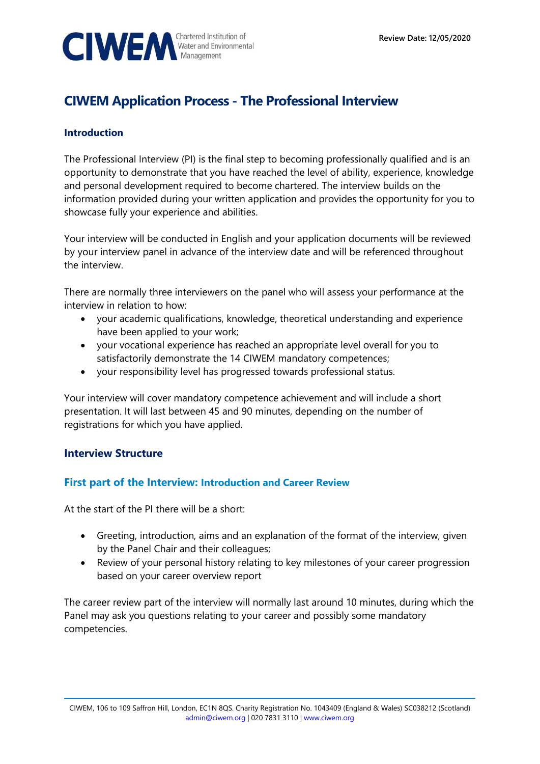

# **CIWEM Application Process - The Professional Interview**

## **Introduction**

The Professional Interview (PI) is the final step to becoming professionally qualified and is an opportunity to demonstrate that you have reached the level of ability, experience, knowledge and personal development required to become chartered. The interview builds on the information provided during your written application and provides the opportunity for you to showcase fully your experience and abilities.

Your interview will be conducted in English and your application documents will be reviewed by your interview panel in advance of the interview date and will be referenced throughout the interview.

There are normally three interviewers on the panel who will assess your performance at the interview in relation to how:

- your academic qualifications, knowledge, theoretical understanding and experience have been applied to your work;
- your vocational experience has reached an appropriate level overall for you to satisfactorily demonstrate the 14 CIWEM mandatory competences;
- your responsibility level has progressed towards professional status.

Your interview will cover mandatory competence achievement and will include a short presentation. It will last between 45 and 90 minutes, depending on the number of registrations for which you have applied.

# **Interview Structure**

# **First part of the Interview: Introduction and Career Review**

At the start of the PI there will be a short:

- Greeting, introduction, aims and an explanation of the format of the interview, given by the Panel Chair and their colleagues;
- Review of your personal history relating to key milestones of your career progression based on your career overview report

The career review part of the interview will normally last around 10 minutes, during which the Panel may ask you questions relating to your career and possibly some mandatory competencies.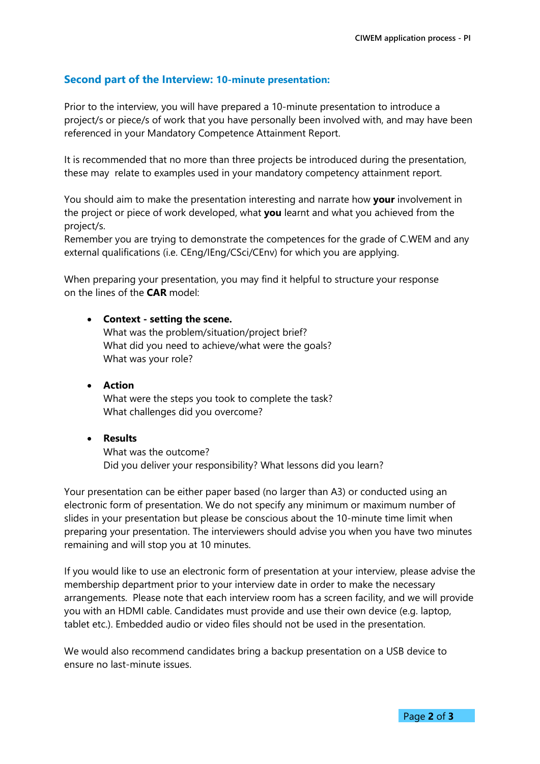## **Second part of the Interview: 10-minute presentation:**

Prior to the interview, you will have prepared a 10-minute presentation to introduce a project/s or piece/s of work that you have personally been involved with, and may have been referenced in your Mandatory Competence Attainment Report.

It is recommended that no more than three projects be introduced during the presentation, these may relate to examples used in your mandatory competency attainment report.

You should aim to make the presentation interesting and narrate how **your** involvement in the project or piece of work developed, what **you** learnt and what you achieved from the project/s.

Remember you are trying to demonstrate the competences for the grade of C.WEM and any external qualifications (i.e. CEng/IEng/CSci/CEnv) for which you are applying.

When preparing your presentation, you may find it helpful to structure your response on the lines of the **CAR** model:

#### • **Context - setting the scene.**

What was the problem/situation/project brief? What did you need to achieve/what were the goals? What was your role?

• **Action** What were the steps you took to complete the task? What challenges did you overcome?

#### • **Results**

What was the outcome? Did you deliver your responsibility? What lessons did you learn?

Your presentation can be either paper based (no larger than A3) or conducted using an electronic form of presentation. We do not specify any minimum or maximum number of slides in your presentation but please be conscious about the 10-minute time limit when preparing your presentation. The interviewers should advise you when you have two minutes remaining and will stop you at 10 minutes.

If you would like to use an electronic form of presentation at your interview, please advise the membership department prior to your interview date in order to make the necessary arrangements. Please note that each interview room has a screen facility, and we will provide you with an HDMI cable. Candidates must provide and use their own device (e.g. laptop, tablet etc.). Embedded audio or video files should not be used in the presentation.

We would also recommend candidates bring a backup presentation on a USB device to ensure no last-minute issues.